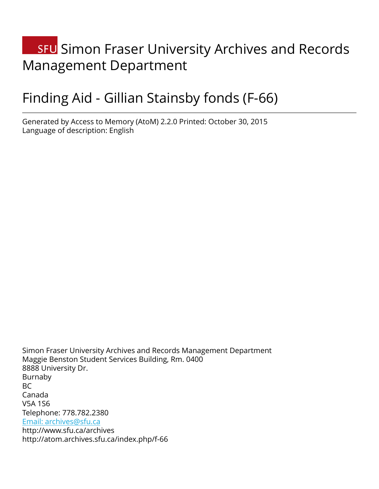# **SFU** Simon Fraser University Archives and Records Management Department

# Finding Aid - Gillian Stainsby fonds (F-66)

Generated by Access to Memory (AtoM) 2.2.0 Printed: October 30, 2015 Language of description: English

Simon Fraser University Archives and Records Management Department Maggie Benston Student Services Building, Rm. 0400 8888 University Dr. Burnaby BC Canada V5A 1S6 Telephone: 778.782.2380 [Email: archives@sfu.ca](mailto:Email: archives@sfu.ca) http://www.sfu.ca/archives http://atom.archives.sfu.ca/index.php/f-66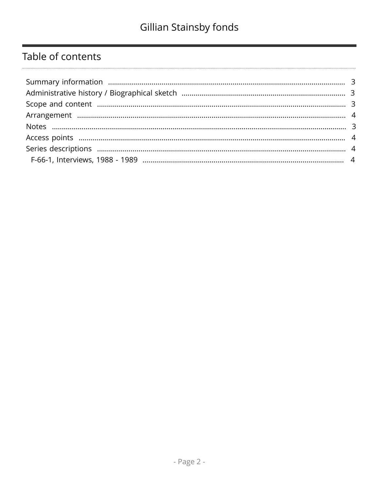## Table of contents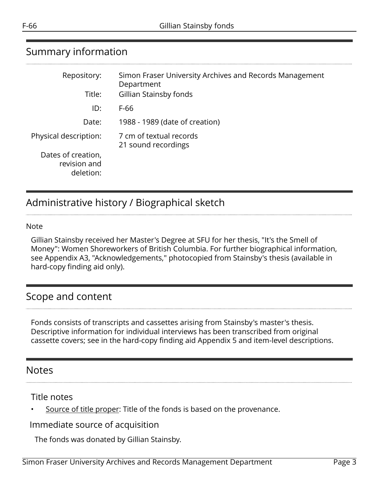# <span id="page-2-0"></span>Summary information

| Repository:                                     | Simon Fraser University Archives and Records Management<br>Department |
|-------------------------------------------------|-----------------------------------------------------------------------|
| Title:                                          | Gillian Stainsby fonds                                                |
| ID:                                             | F-66                                                                  |
| Date:                                           | 1988 - 1989 (date of creation)                                        |
| Physical description:                           | 7 cm of textual records<br>21 sound recordings                        |
| Dates of creation,<br>revision and<br>deletion: |                                                                       |

## <span id="page-2-1"></span>Administrative history / Biographical sketch

#### Note

Gillian Stainsby received her Master's Degree at SFU for her thesis, "It's the Smell of Money": Women Shoreworkers of British Columbia. For further biographical information, see Appendix A3, "Acknowledgements," photocopied from Stainsby's thesis (available in hard-copy finding aid only).

### <span id="page-2-2"></span>Scope and content

Fonds consists of transcripts and cassettes arising from Stainsby's master's thesis. Descriptive information for individual interviews has been transcribed from original cassette covers; see in the hard-copy finding aid Appendix 5 and item-level descriptions.

#### <span id="page-2-3"></span>**Notes**

Title notes

• Source of title proper: Title of the fonds is based on the provenance.

Immediate source of acquisition

The fonds was donated by Gillian Stainsby.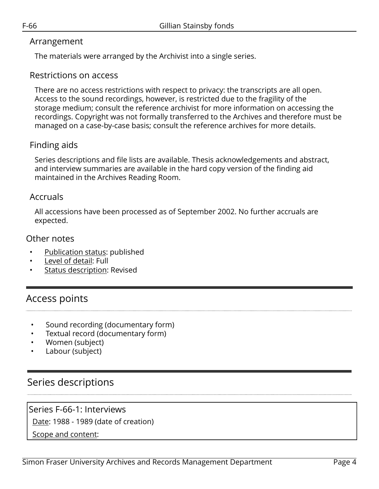#### <span id="page-3-0"></span>Arrangement

The materials were arranged by the Archivist into a single series.

#### Restrictions on access

There are no access restrictions with respect to privacy: the transcripts are all open. Access to the sound recordings, however, is restricted due to the fragility of the storage medium; consult the reference archivist for more information on accessing the recordings. Copyright was not formally transferred to the Archives and therefore must be managed on a case-by-case basis; consult the reference archives for more details.

#### Finding aids

Series descriptions and file lists are available. Thesis acknowledgements and abstract, and interview summaries are available in the hard copy version of the finding aid maintained in the Archives Reading Room.

#### Accruals

All accessions have been processed as of September 2002. No further accruals are expected.

#### Other notes

- Publication status: published
- Level of detail: Full
- Status description: Revised

## <span id="page-3-1"></span>Access points

- Sound recording (documentary form)
- Textual record (documentary form)
- Women (subject)
- Labour (subject)

## <span id="page-3-2"></span>Series descriptions

#### <span id="page-3-3"></span>Series F-66-1: Interviews

Date: 1988 - 1989 (date of creation)

Scope and content: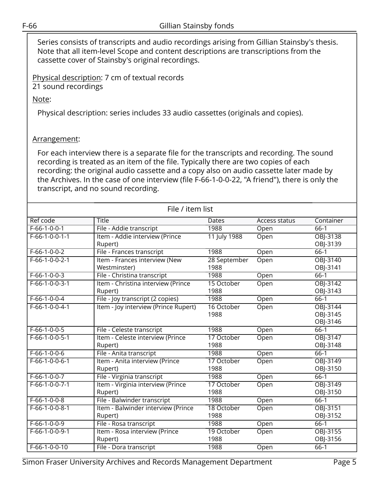Series consists of transcripts and audio recordings arising from Gillian Stainsby's thesis. Note that all item-level Scope and content descriptions are transcriptions from the cassette cover of Stainsby's original recordings.

Physical description: 7 cm of textual records

21 sound recordings

Note:

Physical description: series includes 33 audio cassettes (originals and copies).

#### Arrangement:

For each interview there is a separate file for the transcripts and recording. The sound recording is treated as an item of the file. Typically there are two copies of each recording: the original audio cassette and a copy also on audio cassette later made by the Archives. In the case of one interview (file F-66-1-0-0-22, "A friend"), there is only the transcript, and no sound recording.

| File / item list |                                      |              |               |           |  |  |  |
|------------------|--------------------------------------|--------------|---------------|-----------|--|--|--|
| Ref code         | <b>Title</b>                         | Dates        | Access status | Container |  |  |  |
| $F-66-1-0-0-1$   | File - Addie transcript              | 1988         | Open          | $66-1$    |  |  |  |
| $F-66-1-0-0-1-1$ | Item - Addie interview (Prince       | 11 July 1988 | Open          | OBJ-3138  |  |  |  |
|                  | Rupert)                              |              |               | OBJ-3139  |  |  |  |
| $F-66-1-0-0-2$   | File - Frances transcript            | 1988         | Open          | $66-1$    |  |  |  |
| $F-66-1-0-0-2-1$ | Item - Frances interview (New        | 28 September | Open          | OBJ-3140  |  |  |  |
|                  | Westminster)                         | 1988         |               | OBJ-3141  |  |  |  |
| $F-66-1-0-0-3$   | File - Christina transcript          | 1988         | Open          | $66-1$    |  |  |  |
| $F-66-1-0-0-3-1$ | Item - Christina interview (Prince   | 15 October   | Open          | OBJ-3142  |  |  |  |
|                  | Rupert)                              | 1988         |               | OBJ-3143  |  |  |  |
| $F-66-1-0-0-4$   | File - Joy transcript (2 copies)     | 1988         | Open          | $66-1$    |  |  |  |
| $F-66-1-0-0-4-1$ | Item - Joy interview (Prince Rupert) | 16 October   | Open          | OBJ-3144  |  |  |  |
|                  |                                      | 1988         |               | OBJ-3145  |  |  |  |
|                  |                                      |              |               | OBJ-3146  |  |  |  |
| $F-66-1-0-0-5$   | File - Celeste transcript            | 1988         | Open          | $66-1$    |  |  |  |
| $F-66-1-0-0-5-1$ | Item - Celeste interview (Prince     | 17 October   | Open          | OBJ-3147  |  |  |  |
|                  | Rupert)                              | 1988         |               | OBJ-3148  |  |  |  |
| $F-66-1-0-0-6$   | File - Anita transcript              | 1988         | Open          | $66-1$    |  |  |  |
| $F-66-1-0-0-6-1$ | Item - Anita interview (Prince       | 17 October   | Open          | OBJ-3149  |  |  |  |
|                  | Rupert)                              | 1988         |               | OBJ-3150  |  |  |  |
| $F-66-1-0-0-7$   | File - Virginia transcript           | 1988         | Open          | $66-1$    |  |  |  |
| $F-66-1-0-0-7-1$ | Item - Virginia interview (Prince    | 17 October   | Open          | OBJ-3149  |  |  |  |
|                  | Rupert)                              | 1988         |               | OBJ-3150  |  |  |  |
| $F-66-1-0-0-8$   | File - Balwinder transcript          | 1988         | Open          | $66-1$    |  |  |  |
| $F-66-1-0-0-8-1$ | Item - Balwinder interview (Prince   | 18 October   | Open          | OBJ-3151  |  |  |  |
|                  | Rupert)                              | 1988         |               | OBJ-3152  |  |  |  |
| $F-66-1-0-0-9$   | File - Rosa transcript               | 1988         | Open          | $66-1$    |  |  |  |
| $F-66-1-0-0-9-1$ | Item - Rosa interview (Prince        | 19 October   | Open          | OBJ-3155  |  |  |  |
|                  | Rupert)                              | 1988         |               | OBJ-3156  |  |  |  |
| F-66-1-0-0-10    | File - Dora transcript               | 1988         | Open          | $66-1$    |  |  |  |